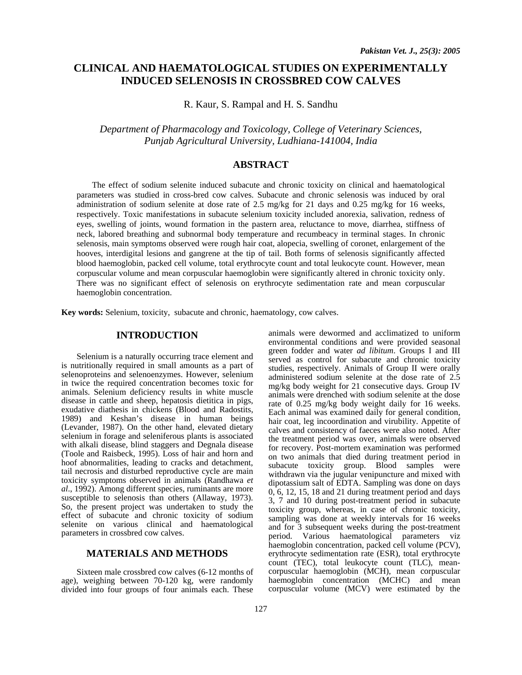# **CLINICAL AND HAEMATOLOGICAL STUDIES ON EXPERIMENTALLY INDUCED SELENOSIS IN CROSSBRED COW CALVES**

R. Kaur, S. Rampal and H. S. Sandhu

*Department of Pharmacology and Toxicology, College of Veterinary Sciences, Punjab Agricultural University, Ludhiana-141004, India* 

## **ABSTRACT**

The effect of sodium selenite induced subacute and chronic toxicity on clinical and haematological parameters was studied in cross-bred cow calves. Subacute and chronic selenosis was induced by oral administration of sodium selenite at dose rate of 2.5 mg/kg for 21 days and 0.25 mg/kg for 16 weeks, respectively. Toxic manifestations in subacute selenium toxicity included anorexia, salivation, redness of eyes, swelling of joints, wound formation in the pastern area, reluctance to move, diarrhea, stiffness of neck, labored breathing and subnormal body temperature and recumbeacy in terminal stages. In chronic selenosis, main symptoms observed were rough hair coat, alopecia, swelling of coronet, enlargement of the hooves, interdigital lesions and gangrene at the tip of tail. Both forms of selenosis significantly affected blood haemoglobin, packed cell volume, total erythrocyte count and total leukocyte count. However, mean corpuscular volume and mean corpuscular haemoglobin were significantly altered in chronic toxicity only. There was no significant effect of selenosis on erythrocyte sedimentation rate and mean corpuscular haemoglobin concentration.

**Key words:** Selenium, toxicity, subacute and chronic, haematology, cow calves.

#### **INTRODUCTION**

Selenium is a naturally occurring trace element and is nutritionally required in small amounts as a part of selenoproteins and selenoenzymes. However, selenium in twice the required concentration becomes toxic for animals. Selenium deficiency results in white muscle disease in cattle and sheep, hepatosis dietitica in pigs, exudative diathesis in chickens (Blood and Radostits, 1989) and Keshan's disease in human beings (Levander, 1987). On the other hand, elevated dietary selenium in forage and seleniferous plants is associated with alkali disease, blind staggers and Degnala disease (Toole and Raisbeck, 1995). Loss of hair and horn and hoof abnormalities, leading to cracks and detachment, tail necrosis and disturbed reproductive cycle are main toxicity symptoms observed in animals (Randhawa *et al*., 1992). Among different species, ruminants are more susceptible to selenosis than others (Allaway, 1973). So, the present project was undertaken to study the effect of subacute and chronic toxicity of sodium selenite on various clinical and haematological parameters in crossbred cow calves.

## **MATERIALS AND METHODS**

Sixteen male crossbred cow calves (6-12 months of age), weighing between 70-120 kg, were randomly divided into four groups of four animals each. These

animals were dewormed and acclimatized to uniform environmental conditions and were provided seasonal green fodder and water *ad libitum*. Groups I and III served as control for subacute and chronic toxicity studies, respectively. Animals of Group II were orally administered sodium selenite at the dose rate of 2.5 mg/kg body weight for 21 consecutive days. Group IV animals were drenched with sodium selenite at the dose rate of 0.25 mg/kg body weight daily for 16 weeks. Each animal was examined daily for general condition, hair coat, leg incoordination and virubility. Appetite of calves and consistency of faeces were also noted. After the treatment period was over, animals were observed for recovery. Post-mortem examination was performed on two animals that died during treatment period in subacute toxicity group. Blood samples were withdrawn via the jugular venipuncture and mixed with dipotassium salt of EDTA. Sampling was done on days 0, 6, 12, 15, 18 and 21 during treatment period and days 3, 7 and 10 during post-treatment period in subacute toxicity group, whereas, in case of chronic toxicity, sampling was done at weekly intervals for 16 weeks and for 3 subsequent weeks during the post-treatment period. Various haematological parameters viz haemoglobin concentration, packed cell volume (PCV), erythrocyte sedimentation rate (ESR), total erythrocyte count (TEC), total leukocyte count (TLC), meancorpuscular haemoglobin (MCH), mean corpuscular haemoglobin concentration (MCHC) and mean corpuscular volume (MCV) were estimated by the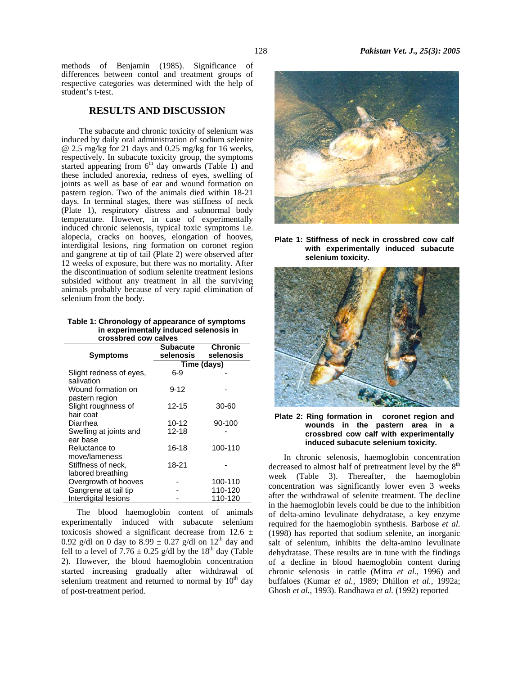methods of Benjamin (1985). Significance of differences between contol and treatment groups of respective categories was determined with the help of student's t-test.

## **RESULTS AND DISCUSSION**

The subacute and chronic toxicity of selenium was induced by daily oral administration of sodium selenite @ 2.5 mg/kg for 21 days and 0.25 mg/kg for 16 weeks, respectively. In subacute toxicity group, the symptoms started appearing from  $6<sup>th</sup>$  day onwards (Table 1) and these included anorexia, redness of eyes, swelling of joints as well as base of ear and wound formation on pastern region. Two of the animals died within 18-21 days. In terminal stages, there was stiffness of neck (Plate 1), respiratory distress and subnormal body temperature. However, in case of experimentally induced chronic selenosis, typical toxic symptoms i.e. alopecia, cracks on hooves, elongation of hooves, interdigital lesions, ring formation on coronet region and gangrene at tip of tail (Plate 2) were observed after 12 weeks of exposure, but there was no mortality. After the discontinuation of sodium selenite treatment lesions subsided without any treatment in all the surviving animals probably because of very rapid elimination of selenium from the body.

**Table 1: Chronology of appearance of symptoms in experimentally induced selenosis in crossbred cow calves** 

| <b>Symptoms</b>                       | <b>Subacute</b><br>selenosis | <b>Chronic</b><br>selenosis |  |  |  |
|---------------------------------------|------------------------------|-----------------------------|--|--|--|
|                                       | Time (days)                  |                             |  |  |  |
| Slight redness of eyes,<br>salivation | 6-9                          |                             |  |  |  |
| Wound formation on                    | $9 - 12$                     |                             |  |  |  |
| pastern region                        |                              |                             |  |  |  |
| Slight roughness of<br>hair coat      | $12 - 15$                    | 30-60                       |  |  |  |
| Diarrhea                              | $10 - 12$                    | 90-100                      |  |  |  |
| Swelling at joints and                | 12-18                        |                             |  |  |  |
| ear base                              |                              |                             |  |  |  |
| Reluctance to                         | 16-18                        | 100-110                     |  |  |  |
| move/lameness                         |                              |                             |  |  |  |
| Stiffness of neck,                    | 18-21                        |                             |  |  |  |
| labored breathing                     |                              |                             |  |  |  |
| Overgrowth of hooves                  |                              | 100-110                     |  |  |  |
| Gangrene at tail tip                  |                              | 110-120                     |  |  |  |
| Interdigital lesions                  |                              | 110-120                     |  |  |  |

The blood haemoglobin content of animals experimentally induced with subacute selenium toxicosis showed a significant decrease from 12.6  $\pm$ 0.92 g/dl on 0 day to  $8.99 \pm 0.27$  g/dl on  $12<sup>th</sup>$  day and fell to a level of 7.76  $\pm$  0.25 g/dl by the 18<sup>th</sup> day (Table 2). However, the blood haemoglobin concentration started increasing gradually after withdrawal of selenium treatment and returned to normal by  $10<sup>th</sup>$  day of post-treatment period.



**Plate 1: Stiffness of neck in crossbred cow calf with experimentally induced subacute selenium toxicity.** 



**Plate 2: Ring formation in coronet region and wounds in the pastern area in a crossbred cow calf with experimentally induced subacute selenium toxicity.** 

In chronic selenosis, haemoglobin concentration decreased to almost half of pretreatment level by the 8<sup>th</sup> week (Table 3). Thereafter, the haemoglobin concentration was significantly lower even 3 weeks after the withdrawal of selenite treatment. The decline in the haemoglobin levels could be due to the inhibition of delta-amino levulinate dehydratase, a key enzyme required for the haemoglobin synthesis. Barbose *et al*. (1998) has reported that sodium selenite, an inorganic salt of selenium, inhibits the delta-amino levulinate dehydratase. These results are in tune with the findings of a decline in blood haemoglobin content during chronic selenosis in cattle (Mitra *et al.,* 1996) and buffaloes (Kumar *et al.,* 1989; Dhillon *et al.,* 1992a; Ghosh *et al.,* 1993). Randhawa *et al.* (1992) reported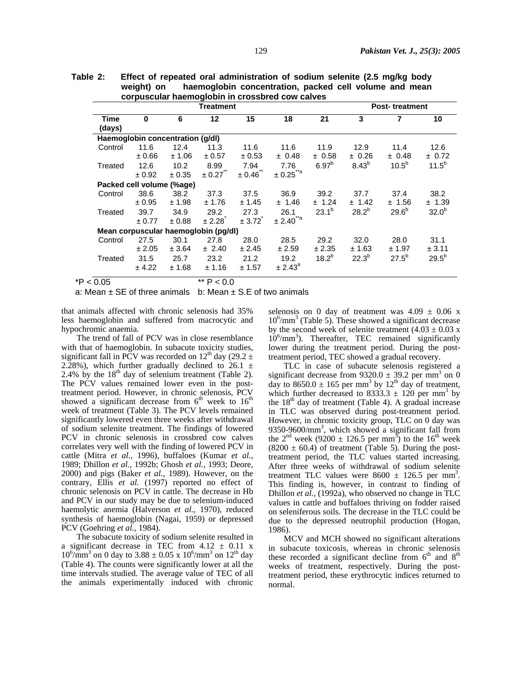| Table 2: | Effect of repeated oral administration of sodium selenite (2.5 mg/kg body |                                                        |  |  |  |  |  |
|----------|---------------------------------------------------------------------------|--------------------------------------------------------|--|--|--|--|--|
|          | weight) on                                                                | haemoglobin concentration, packed cell volume and mean |  |  |  |  |  |
|          | corpuscular haemoglobin in crossbred cow calves                           |                                                        |  |  |  |  |  |

|                | <b>Treatment</b>                 |            |                                      |        |                     |                   | <b>Post-treatment</b> |                   |                   |
|----------------|----------------------------------|------------|--------------------------------------|--------|---------------------|-------------------|-----------------------|-------------------|-------------------|
| Time<br>(days) | $\bf{0}$                         | 6          | 12                                   | 15     | 18                  | 21                | 3                     | 7                 | 10                |
|                | Haemoglobin concentration (g/dl) |            |                                      |        |                     |                   |                       |                   |                   |
| Control        | 11.6                             | 12.4       | 11.3                                 | 11.6   | 11.6                | 11.9              | 12.9                  | 11.4              | 12.6              |
|                | $0.66 \pm$                       | ± 1.06     | ± 0.57                               | ± 0.53 | ± 0.48              | ± 0.58            | ± 0.26                | ± 0.48            | ± 0.72            |
| Treated        | 12.6                             | 10.2       | 8.99                                 | 7.94   | 7.76                | 6.97 <sup>b</sup> | 8.43 <sup>b</sup>     | 10.5 <sup>b</sup> | $11.5^{b}$        |
|                | ± 0.92                           | ± 0.35     | $\pm 0.27$                           | ± 0.46 |                     |                   |                       |                   |                   |
|                | Packed cell volume (%age)        |            |                                      |        |                     |                   |                       |                   |                   |
| Control        | 38.6                             | 38.2       | 37.3                                 | 37.5   | 36.9                | 39.2              | 37.7                  | 37.4              | 38.2              |
|                | ± 0.95                           | ± 1.98     | ± 1.76                               | ± 1.45 | ± 1.46              | ± 1.24            | ± 1.42                | ± 1.56            | ± 1.39            |
| Treated        | 39.7                             | 34.9       | 29.2                                 | 27.3   | 26.1                | $23.1^{b}$        | $28.2^{b}$            | $29.6^{b}$        | 32.0 <sup>b</sup> |
|                | $\pm 0.77$                       | $\pm 0.88$ | ± 2.28                               | ± 3.72 | $\pm 2.40^{**}$ a   |                   |                       |                   |                   |
|                |                                  |            | Mean corpuscular haemoglobin (pq/dl) |        |                     |                   |                       |                   |                   |
| Control        | 27.5                             | 30.1       | 27.8                                 | 28.0   | 28.5                | 29.2              | 32.0                  | 28.0              | 31.1              |
|                | ± 2.05                           | ± 3.64     | ± 2.40                               | ± 2.45 | ± 2.59              | ± 2.35            | ± 1.63                | ± 1.97            | ± 3.11            |
| Treated        | 31.5                             | 25.7       | 23.2                                 | 21.2   | 19.2                | $18.2^{b}$        | $22.3^{b}$            | $27.5^{b}$        | $29.5^{b}$        |
|                | ± 4.22                           | ± 1.68     | ± 1.16                               | ± 1.57 | ± 2.43 <sup>a</sup> |                   |                       |                   |                   |
| $*P < 0.05$    |                                  |            | ** $P < 0.0$                         |        |                     |                   |                       |                   |                   |

a: Mean  $\pm$  SE of three animals b: Mean  $\pm$  S.E of two animals

that animals affected with chronic selenosis had 35% less haemoglobin and suffered from macrocytic and hypochromic anaemia.

The trend of fall of PCV was in close resemblance with that of haemoglobin. In subacute toxicity studies, significant fall in PCV was recorded on 12<sup>th</sup> day (29.2  $\pm$ 2.28%), which further gradually declined to  $26.1 \pm$ 2.4% by the  $18<sup>th</sup>$  day of selenium treatment (Table 2). The PCV values remained lower even in the posttreatment period. However, in chronic selenosis, PCV showed a significant decrease from  $6<sup>th</sup>$  week to  $16<sup>th</sup>$ week of treatment (Table 3). The PCV levels remained significantly lowered even three weeks after withdrawal of sodium selenite treatment. The findings of lowered PCV in chronic selenosis in crossbred cow calves correlates very well with the finding of lowered PCV in cattle (Mitra *et al.,* 1996), buffaloes (Kumar *et al.,* 1989; Dhillon *et al.,* 1992b; Ghosh *et al.,* 1993; Deore, 2000) and pigs (Baker *et al.,* 1989). However, on the contrary, Ellis *et al.* (1997) reported no effect of chronic selenosis on PCV in cattle. The decrease in Hb and PCV in our study may be due to selenium-induced haemolytic anemia (Halverson *et al.,* 1970), reduced synthesis of haemoglobin (Nagai, 1959) or depressed PCV (Goehring *et al.,* 1984).

The subacute toxicity of sodium selenite resulted in a significant decrease in TEC from  $4.12 \pm 0.11$  x  $10^6/\text{mm}^3$  on 0 day to 3.88 ± 0.05 x  $10^6/\text{mm}^3$  on  $12^{\text{th}}$  day (Table 4). The counts were significantly lower at all the time intervals studied. The average value of TEC of all the animals experimentally induced with chronic selenosis on 0 day of treatment was  $4.09 \pm 0.06$  x 10<sup>6</sup>/mm<sup>3</sup> (Table 5). These showed a significant decrease by the second week of selenite treatment  $(4.03 \pm 0.03 \text{ x})$ 10<sup>6</sup>/mm<sup>3</sup>). Thereafter, TEC remained significantly lower during the treatment period. During the posttreatment period, TEC showed a gradual recovery.

TLC in case of subacute selenosis registered a significant decrease from  $9320.0 \pm 39.2$  per mm<sup>3</sup> on 0 day to  $8650.0 \pm 165$  per mm<sup>3</sup> by  $12<sup>th</sup>$  day of treatment, which further decreased to  $8333.3 \pm 120$  per mm<sup>3</sup> by the  $18<sup>th</sup>$  day of treatment (Table 4). A gradual increase in TLC was observed during post-treatment period. However, in chronic toxicity group, TLC on 0 day was 9350-9600/mm<sup>3</sup>, which showed a significant fall from the  $2^{nd}$  week (9200  $\pm$  126.5 per mm<sup>3</sup>) to the 16<sup>th</sup> week  $(8200 \pm 60.4)$  of treatment (Table 5). During the posttreatment period, the TLC values started increasing. After three weeks of withdrawal of sodium selenite treatment TLC values were  $8600 \pm 126.5$  per mm<sup>3</sup>. This finding is, however, in contrast to finding of Dhillon *et al.,* (1992a), who observed no change in TLC values in cattle and buffaloes thriving on fodder raised on seleniferous soils. The decrease in the TLC could be due to the depressed neutrophil production (Hogan, 1986).

MCV and MCH showed no significant alterations in subacute toxicosis, whereas in chronic selenosis these recorded a significant decline from  $6<sup>th</sup>$  and  $8<sup>th</sup>$ weeks of treatment, respectively. During the posttreatment period, these erythrocytic indices returned to normal.